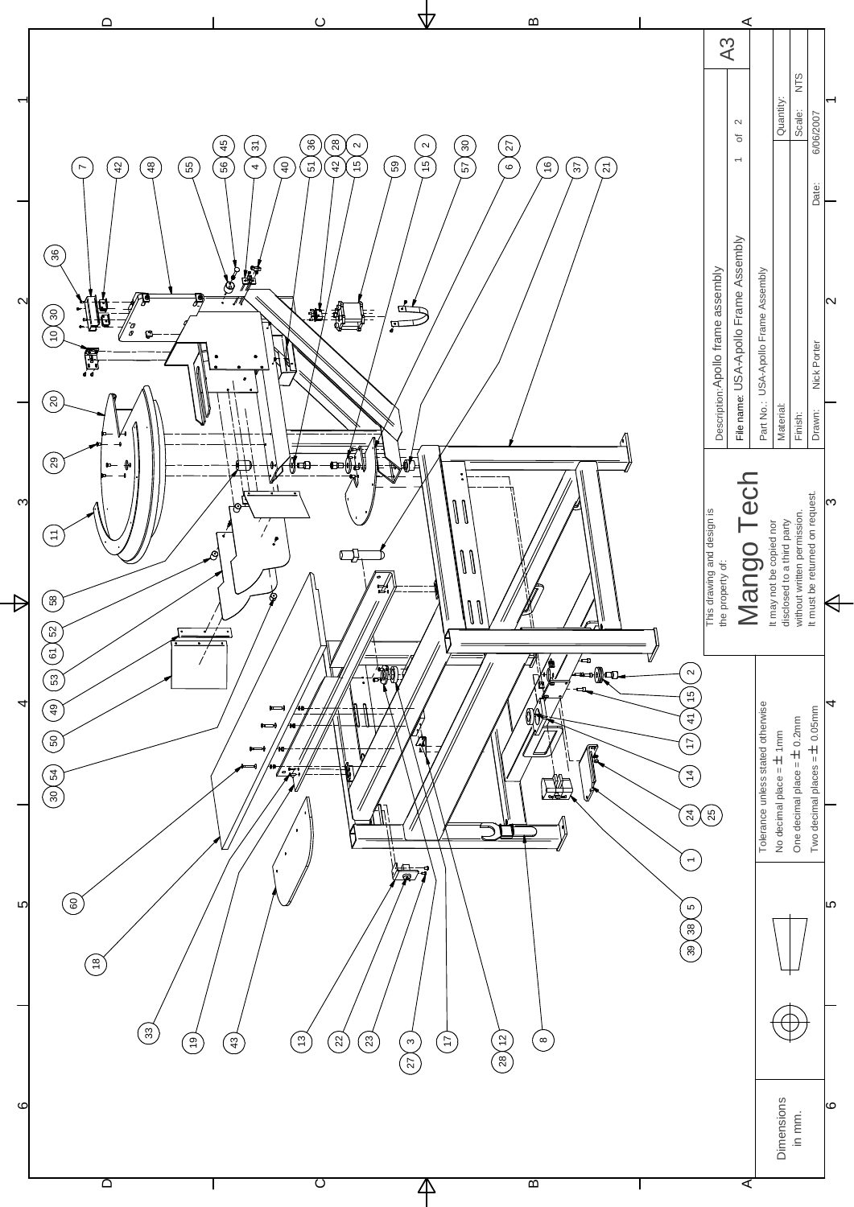